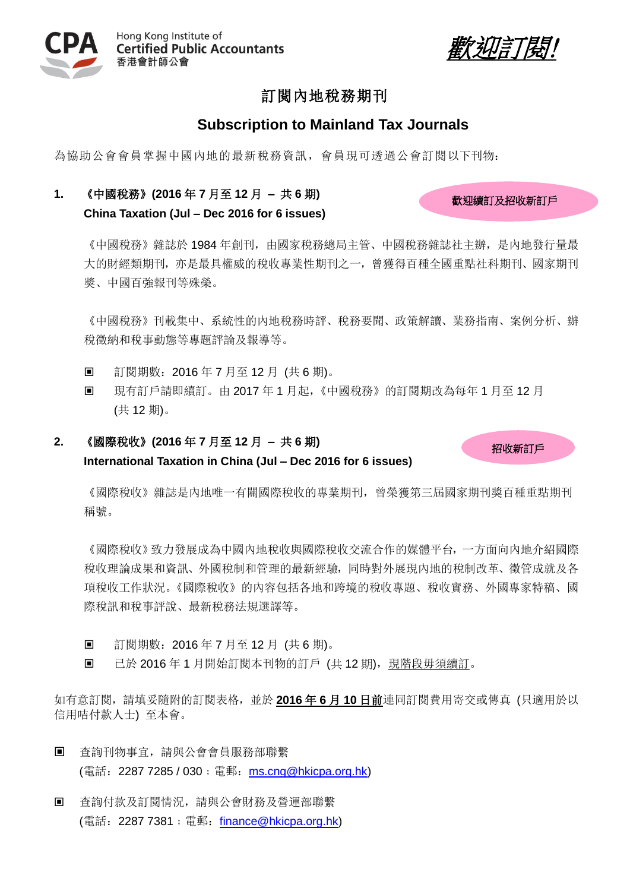



歡迎續訂及招收新訂戶

招收新訂戶

# 訂閱內地稅務期刊

## **Subscription to Mainland Tax Journals**

為協助公會會員掌握中國內地的最新稅務資訊,會員現可透過公會訂閱以下刊物:

## **1.** 《中國稅務》**(2016** 年 **7** 月至 **12** 月 **–** 共 **6** 期**) China Taxation (Jul – Dec 2016 for 6 issues)**

《中國稅務》雜誌於 1984 年創刊,由國家稅務總局主管、中國稅務雜誌社主辦,是內地發行量最 大的財經類期刊,亦是最具權威的稅收專業性期刊之一,曾獲得百種全國重點社科期刊、國家期刊 獎、中國百強報刊等殊榮。

《中國稅務》刊載集中、系統性的內地稅務時評、稅務要聞、政策解讀、業務指南、案例分析、辦 稅徵納和稅事動態等專題評論及報導等。

- 訂閱期數: 2016年7月至12月 (共6期)。
- 現有訂戶請即續訂。由 2017 年 1 月起,《中國稅務》的訂閱期改為每年 1 月至 12 月 (共 12 期)。

## **2.** 《國際稅收》**(2016** 年 **7** 月至 **12** 月 **–** 共 **6** 期**) International Taxation in China (Jul – Dec 2016 for 6 issues)**

《國際稅收》雜誌是內地唯一有關國際稅收的專業期刊, 曾榮獲第三屆國家期刊獎百種重點期刊 稱號。

《國際稅收》致力發展成為中國內地稅收與國際稅收交流合作的媒體平台,一方面向內地介紹國際 稅收理論成果和資訊、外國稅制和管理的最新經驗,同時對外展現內地的稅制改革、徵管成就及各 項稅收工作狀況。《國際稅收》的內容包括各地和跨境的稅收專題、稅收實務、外國專家特稿、國 際稅訊和稅事評說、最新稅務法規選譯等。

- 訂閱期數: 2016年7月至12月 (共6期)。
- 回 已於 2016年1月開始訂閱本刊物的訂戶 (共12期), 現階段毋須續訂。

如有意訂閱,請填妥隨附的訂閱表格,並於 **2016** 年 **6** 月 **10** 日前連同訂閱費用寄交或傳真 (只適用於以 信用咭付款人士) 至本會。

- 杳詢刊物事官,請與公會會員服務部聯繫 (電話: 2287 7285 / 030; 電郵: [ms.cng@hkicpa.org.hk\)](mailto:ms.cng@hkicpa.org.hk)
- 查詢付款及訂閱情況,請與公會財務及營運部聯繫 (電話: 2287 7381; 電郵: [finance@hkicpa.org.hk\)](mailto:mcs.scm@hkicpa.org.hk)